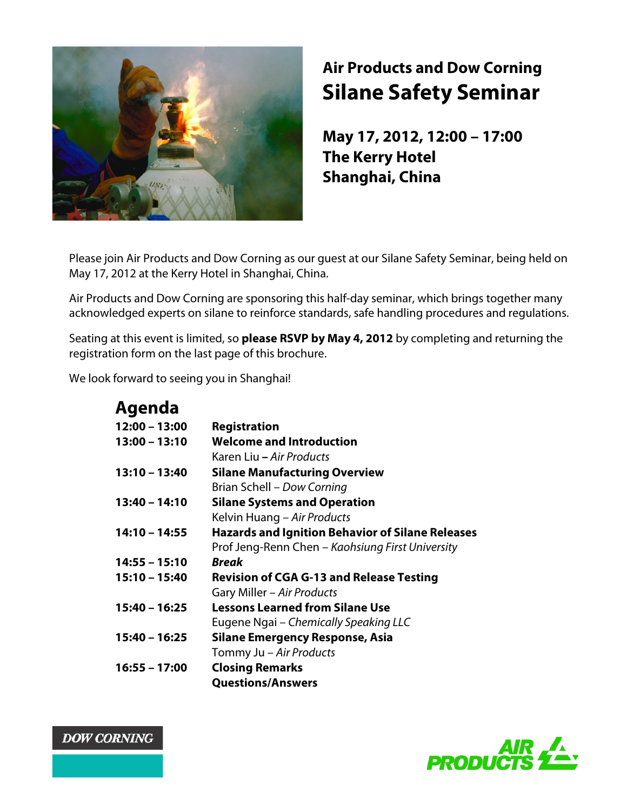

# **Air Products and Dow Corning Silane Safety Seminar**

**May 17, 2012, 12:00 – 17:00 The Kerry Hotel Shanghai, China**

Please join Air Products and Dow Corning as our guest at our Silane Safety Seminar, being held on May 17, 2012 at the Kerry Hotel in Shanghai, China.

Air Products and Dow Corning are sponsoring this half-day seminar, which brings together many acknowledged experts on silane to reinforce standards, safe handling procedures and regulations.

Seating at this event is limited, so **please RSVP by May 4, 2012** by completing and returning the registration form on the last page of this brochure.

We look forward to seeing you in Shanghai!

| Agenda          |                                                         |
|-----------------|---------------------------------------------------------|
| $12:00 - 13:00$ | <b>Registration</b>                                     |
| $13:00 - 13:10$ | <b>Welcome and Introduction</b>                         |
|                 | Karen Liu – Air Products                                |
| $13:10 - 13:40$ | <b>Silane Manufacturing Overview</b>                    |
|                 | Brian Schell - Dow Corning                              |
| 13:40 - 14:10   | <b>Silane Systems and Operation</b>                     |
|                 | Kelvin Huang – Air Products                             |
| 14:10 - 14:55   | <b>Hazards and Ignition Behavior of Silane Releases</b> |
|                 | Prof Jeng-Renn Chen - Kaohsiung First University        |
| $14:55 - 15:10$ | Break                                                   |
| $15:10 - 15:40$ | <b>Revision of CGA G-13 and Release Testing</b>         |
|                 | Gary Miller - Air Products                              |
| $15:40 - 16:25$ | <b>Lessons Learned from Silane Use</b>                  |
|                 | Eugene Ngai - Chemically Speaking LLC                   |
| 15:40 - 16:25   | Silane Emergency Response, Asia                         |
|                 | Tommy Ju - Air Products                                 |
| $16:55 - 17:00$ | <b>Closing Remarks</b>                                  |
|                 | <b>Questions/Answers</b>                                |



**DOW CORNING**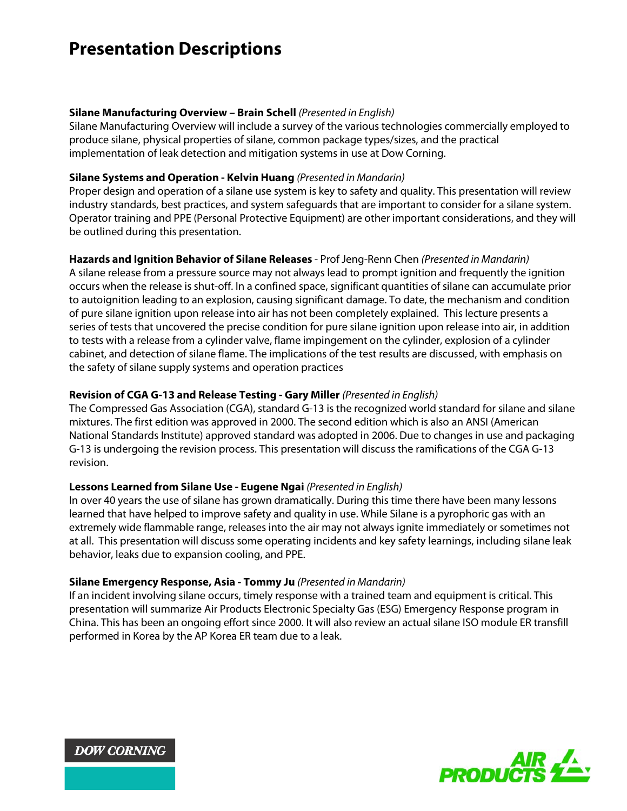## **Presentation Descriptions**

#### **Silane Manufacturing Overview – Brain Schell** *(Presented in English)*

Silane Manufacturing Overview will include a survey of the various technologies commercially employed to produce silane, physical properties of silane, common package types/sizes, and the practical implementation of leak detection and mitigation systems in use at Dow Corning.

#### **Silane Systems and Operation - Kelvin Huang** *(Presented in Mandarin)*

Proper design and operation of a silane use system is key to safety and quality. This presentation will review industry standards, best practices, and system safeguards that are important to consider for a silane system. Operator training and PPE (Personal Protective Equipment) are other important considerations, and they will be outlined during this presentation.

#### **Hazards and Ignition Behavior of Silane Releases** - Prof Jeng-Renn Chen *(Presented in Mandarin)*

A silane release from a pressure source may not always lead to prompt ignition and frequently the ignition occurs when the release is shut-off. In a confined space, significant quantities of silane can accumulate prior to autoignition leading to an explosion, causing significant damage. To date, the mechanism and condition of pure silane ignition upon release into air has not been completely explained. This lecture presents a series of tests that uncovered the precise condition for pure silane ignition upon release into air, in addition to tests with a release from a cylinder valve, flame impingement on the cylinder, explosion of a cylinder cabinet, and detection of silane flame. The implications of the test results are discussed, with emphasis on the safety of silane supply systems and operation practices

#### **Revision of CGA G-13 and Release Testing - Gary Miller** *(Presented in English)*

The Compressed Gas Association (CGA), standard G-13 is the recognized world standard for silane and silane mixtures. The first edition was approved in 2000. The second edition which is also an ANSI (American National Standards Institute) approved standard was adopted in 2006. Due to changes in use and packaging G-13 is undergoing the revision process. This presentation will discuss the ramifications of the CGA G-13 revision.

#### **Lessons Learned from Silane Use - Eugene Ngai** *(Presented in English)*

In over 40 years the use of silane has grown dramatically. During this time there have been many lessons learned that have helped to improve safety and quality in use. While Silane is a pyrophoric gas with an extremely wide flammable range, releases into the air may not always ignite immediately or sometimes not at all. This presentation will discuss some operating incidents and key safety learnings, including silane leak behavior, leaks due to expansion cooling, and PPE.

#### **Silane Emergency Response, Asia - Tommy Ju** *(Presented in Mandarin)*

If an incident involving silane occurs, timely response with a trained team and equipment is critical. This presentation will summarize Air Products Electronic Specialty Gas (ESG) Emergency Response program in China. This has been an ongoing effort since 2000. It will also review an actual silane ISO module ER transfill performed in Korea by the AP Korea ER team due to a leak.



**DOW CORNING**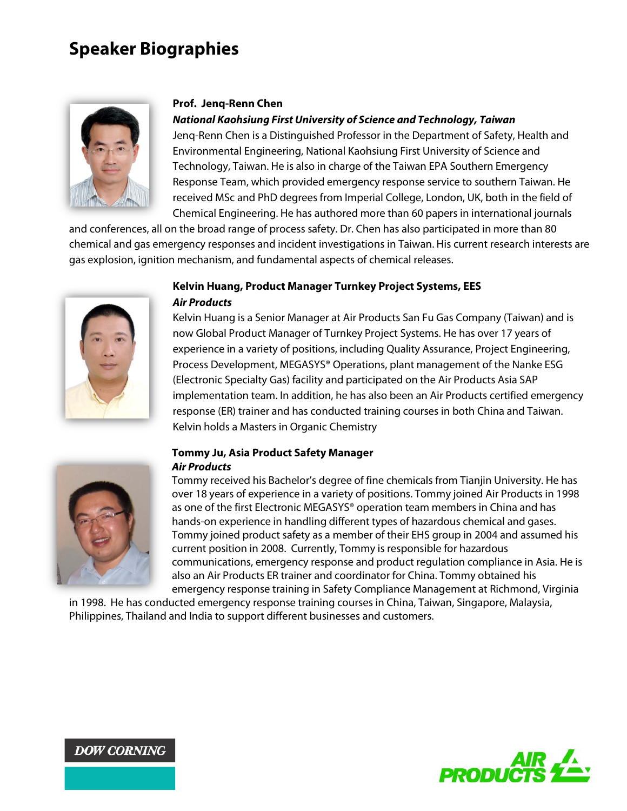# **Speaker Biographies**



#### **Prof. Jenq-Renn Chen**

*National Kaohsiung First University of Science and Technology, Taiwan*

Jenq-Renn Chen is a Distinguished Professor in the Department of Safety, Health and Environmental Engineering, National Kaohsiung First University of Science and Technology, Taiwan. He is also in charge of the Taiwan EPA Southern Emergency Response Team, which provided emergency response service to southern Taiwan. He received MSc and PhD degrees from Imperial College, London, UK, both in the field of Chemical Engineering. He has authored more than 60 papers in international journals

and conferences, all on the broad range of process safety. Dr. Chen has also participated in more than 80 chemical and gas emergency responses and incident investigations in Taiwan. His current research interests are gas explosion, ignition mechanism, and fundamental aspects of chemical releases.



### **Kelvin Huang, Product Manager Turnkey Project Systems, EES** *Air Products*

Kelvin Huang is a Senior Manager at Air Products San Fu Gas Company (Taiwan) and is now Global Product Manager of Turnkey Project Systems. He has over 17 years of experience in a variety of positions, including Quality Assurance, Project Engineering, Process Development, MEGASYS® Operations, plant management of the Nanke ESG (Electronic Specialty Gas) facility and participated on the Air Products Asia SAP implementation team. In addition, he has also been an Air Products certified emergency response (ER) trainer and has conducted training courses in both China and Taiwan. Kelvin holds a Masters in Organic Chemistry



#### **Tommy Ju, Asia Product Safety Manager**  *Air Products*

Tommy received his Bachelor's degree of fine chemicals from Tianjin University. He has over 18 years of experience in a variety of positions. Tommy joined Air Products in 1998 as one of the first Electronic MEGASYS® operation team members in China and has hands-on experience in handling different types of hazardous chemical and gases. Tommy joined product safety as a member of their EHS group in 2004 and assumed his current position in 2008. Currently, Tommy is responsible for hazardous communications, emergency response and product regulation compliance in Asia. He is also an Air Products ER trainer and coordinator for China. Tommy obtained his emergency response training in Safety Compliance Management at Richmond, Virginia

in 1998. He has conducted emergency response training courses in China, Taiwan, Singapore, Malaysia, Philippines, Thailand and India to support different businesses and customers.



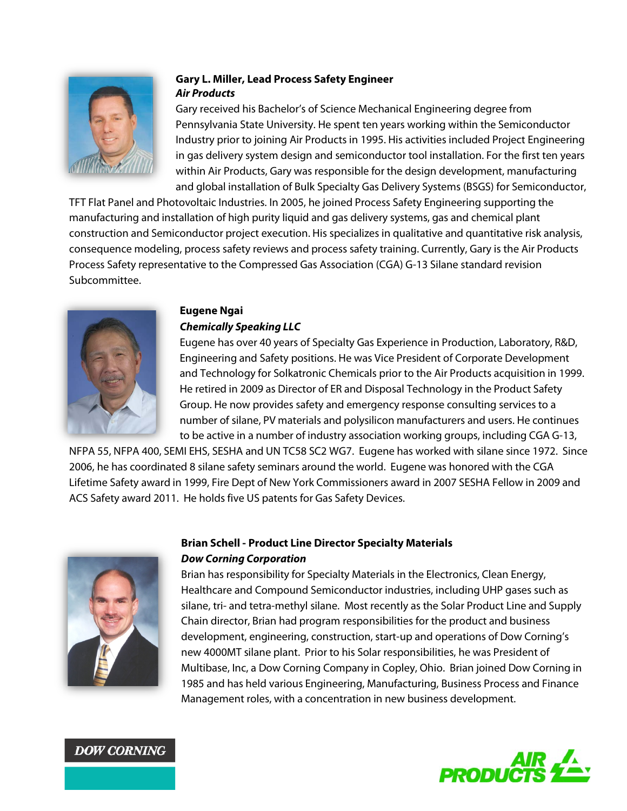

### **Gary L. Miller, Lead Process Safety Engineer** *Air Products*

Gary received his Bachelor's of Science Mechanical Engineering degree from Pennsylvania State University. He spent ten years working within the Semiconductor Industry prior to joining Air Products in 1995. His activities included Project Engineering in gas delivery system design and semiconductor tool installation. For the first ten years within Air Products, Gary was responsible for the design development, manufacturing and global installation of Bulk Specialty Gas Delivery Systems (BSGS) for Semiconductor,

TFT Flat Panel and Photovoltaic Industries. In 2005, he joined Process Safety Engineering supporting the manufacturing and installation of high purity liquid and gas delivery systems, gas and chemical plant construction and Semiconductor project execution. His specializes in qualitative and quantitative risk analysis, consequence modeling, process safety reviews and process safety training. Currently, Gary is the Air Products Process Safety representative to the Compressed Gas Association (CGA) G-13 Silane standard revision Subcommittee.



### **Eugene Ngai** *Chemically Speaking LLC*

Eugene has over 40 years of Specialty Gas Experience in Production, Laboratory, R&D, Engineering and Safety positions. He was Vice President of Corporate Development and Technology for Solkatronic Chemicals prior to the Air Products acquisition in 1999. He retired in 2009 as Director of ER and Disposal Technology in the Product Safety Group. He now provides safety and emergency response consulting services to a number of silane, PV materials and polysilicon manufacturers and users. He continues to be active in a number of industry association working groups, including CGA G-13,

NFPA 55, NFPA 400, SEMI EHS, SESHA and UN TC58 SC2 WG7. Eugene has worked with silane since 1972. Since 2006, he has coordinated 8 silane safety seminars around the world. Eugene was honored with the CGA Lifetime Safety award in 1999, Fire Dept of New York Commissioners award in 2007 SESHA Fellow in 2009 and ACS Safety award 2011. He holds five US patents for Gas Safety Devices.



## **Brian Schell - Product Line Director Specialty Materials** *Dow Corning Corporation*

Brian has responsibility for Specialty Materials in the Electronics, Clean Energy, Healthcare and Compound Semiconductor industries, including UHP gases such as silane, tri- and tetra-methyl silane. Most recently as the Solar Product Line and Supply Chain director, Brian had program responsibilities for the product and business development, engineering, construction, start-up and operations of Dow Corning's new 4000MT silane plant. Prior to his Solar responsibilities, he was President of Multibase, Inc, a Dow Corning Company in Copley, Ohio. Brian joined Dow Corning in 1985 and has held various Engineering, Manufacturing, Business Process and Finance Management roles, with a concentration in new business development.



**DOW CORNING**